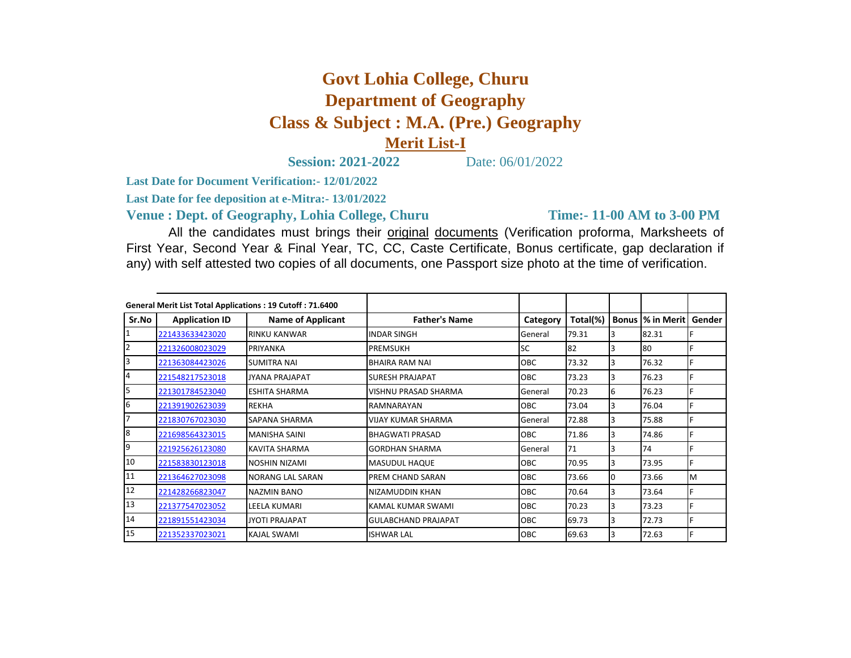## **Govt Lohia College, Churu Department of Geography Class & Subject : M.A. (Pre.) Geography Merit List-I**

**Session: 2021-2022** Date: 06/01/2022

**Last Date for Document Verification:- 12/01/2022**

**Last Date for fee deposition at e-Mitra:- 13/01/2022**

**Venue : Dept. of Geography, Lohia College, Churu** 

**Time:- 11-00 AM to 3-00 PM** 

All the candidates must brings their original documents (Verification proforma, Marksheets of First Year, Second Year & Final Year, TC, CC, Caste Certificate, Bonus certificate, gap declaration if any) with self attested two copies of all documents, one Passport size photo at the time of verification.

| General Merit List Total Applications: 19 Cutoff: 71.6400 |                       |                          |                             |            |          |   |                          |           |
|-----------------------------------------------------------|-----------------------|--------------------------|-----------------------------|------------|----------|---|--------------------------|-----------|
| Sr.No                                                     | <b>Application ID</b> | <b>Name of Applicant</b> | <b>Father's Name</b>        | Category   | Total(%) |   | <b>Bonus  % in Merit</b> | Gender    |
|                                                           | 221433633423020       | <b>RINKU KANWAR</b>      | <b>INDAR SINGH</b>          | General    | 79.31    |   | 82.31                    |           |
|                                                           | 221326008023029       | PRIYANKA                 | <b>PREMSUKH</b>             | <b>SC</b>  | 82       |   | 80                       |           |
|                                                           | 221363084423026       | <b>SUMITRA NAI</b>       | <b>BHAIRA RAM NAI</b>       | <b>OBC</b> | 73.32    |   | 76.32                    |           |
|                                                           | 221548217523018       | <b>JYANA PRAJAPAT</b>    | <b>SURESH PRAJAPAT</b>      | OBC        | 73.23    | 3 | 76.23                    |           |
|                                                           | 221301784523040       | <b>ESHITA SHARMA</b>     | <b>VISHNU PRASAD SHARMA</b> | General    | 70.23    | 6 | 76.23                    |           |
| 6                                                         | 221391902623039       | <b>REKHA</b>             | RAMNARAYAN                  | <b>OBC</b> | 73.04    |   | 76.04                    |           |
|                                                           | 221830767023030       | <b>SAPANA SHARMA</b>     | <b>VIJAY KUMAR SHARMA</b>   | General    | 72.88    | 3 | 75.88                    |           |
| 8                                                         | 221698564323015       | <b>MANISHA SAINI</b>     | <b>BHAGWATI PRASAD</b>      | OBC        | 71.86    |   | 74.86                    |           |
| 9                                                         | 221925626123080       | <b>KAVITA SHARMA</b>     | <b>GORDHAN SHARMA</b>       | General    | 71       |   | 74                       |           |
| 10                                                        | 221583830123018       | NOSHIN NIZAMI            | MASUDUL HAQUE               | <b>OBC</b> | 70.95    | 3 | 73.95                    |           |
| 11                                                        | 221364627023098       | <b>NORANG LAL SARAN</b>  | <b>PREM CHAND SARAN</b>     | OBC        | 73.66    |   | 73.66                    | <b>IM</b> |
| 12                                                        | 221428266823047       | <b>NAZMIN BANO</b>       | NIZAMUDDIN KHAN             | OBC        | 70.64    |   | 73.64                    |           |
| 13                                                        | 221377547023052       | LEELA KUMARI             | KAMAL KUMAR SWAMI           | <b>OBC</b> | 70.23    | 3 | 73.23                    |           |
| 14                                                        | 221891551423034       | <b>JYOTI PRAJAPAT</b>    | <b>GULABCHAND PRAJAPAT</b>  | <b>OBC</b> | 69.73    | 3 | 72.73                    |           |
| 15                                                        | 221352337023021       | <b>KAJAL SWAMI</b>       | <b>ISHWAR LAL</b>           | OBC        | 69.63    |   | 72.63                    |           |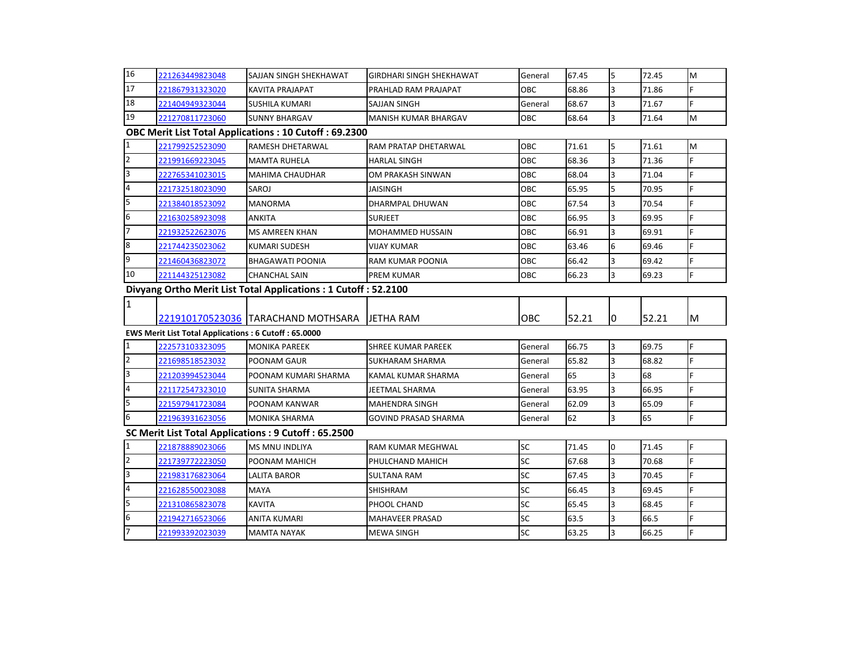| 16                                                             | 221263449823048                                      | <b>SAJJAN SINGH SHEKHAWAT</b>                         | <b>GIRDHARI SINGH SHEKHAWAT</b> | General   | 67.45 | $\overline{5}$ | 72.45 | M  |  |  |
|----------------------------------------------------------------|------------------------------------------------------|-------------------------------------------------------|---------------------------------|-----------|-------|----------------|-------|----|--|--|
| 17                                                             | 221867931323020                                      | <b>KAVITA PRAJAPAT</b>                                | PRAHLAD RAM PRAJAPAT            | OBC       | 68.86 | 3              | 71.86 | F  |  |  |
| 18                                                             | 221404949323044                                      | <b>SUSHILA KUMARI</b>                                 | <b>SAJJAN SINGH</b>             | General   | 68.67 | $\overline{3}$ | 71.67 | F  |  |  |
| 19                                                             | 221270811723060                                      | <b>SUNNY BHARGAV</b>                                  | MANISH KUMAR BHARGAV            | ОВС       | 68.64 | $\overline{3}$ | 71.64 | M  |  |  |
| OBC Merit List Total Applications : 10 Cutoff : 69.2300        |                                                      |                                                       |                                 |           |       |                |       |    |  |  |
| $\mathbf{1}$                                                   | 221799252523090                                      | <b>RAMESH DHETARWAL</b>                               | RAM PRATAP DHETARWAL            | OBC       | 71.61 | 5              | 71.61 | M  |  |  |
| $\overline{2}$                                                 | 221991669223045                                      | <b>MAMTA RUHELA</b>                                   | <b>HARLAL SINGH</b>             | OBC       | 68.36 | $\overline{3}$ | 71.36 | F  |  |  |
| З                                                              | 222765341023015                                      | <b>MAHIMA CHAUDHAR</b>                                | OM PRAKASH SINWAN               | OBC       | 68.04 | $\overline{3}$ | 71.04 | E  |  |  |
| $\overline{\mathbf{r}}$                                        | 221732518023090                                      | SAROJ                                                 | JAISINGH                        | OBC       | 65.95 | 5              | 70.95 | F  |  |  |
| 5                                                              | 221384018523092                                      | <b>MANORMA</b>                                        | <b>DHARMPAL DHUWAN</b>          | OBC       | 67.54 | 3              | 70.54 |    |  |  |
| 6                                                              | 221630258923098                                      | <b>ANKITA</b>                                         | <b>SURJEET</b>                  | OBC       | 66.95 | $\overline{3}$ | 69.95 | F  |  |  |
| $\overline{7}$                                                 | 221932522623076                                      | <b>MS AMREEN KHAN</b>                                 | <b>MOHAMMED HUSSAIN</b>         | OBC       | 66.91 | $\overline{3}$ | 69.91 |    |  |  |
| $\bf 8$                                                        | 221744235023062                                      | <b>KUMARI SUDESH</b>                                  | VIJAY KUMAR                     | OBC       | 63.46 | 6              | 69.46 | F  |  |  |
| 9                                                              | 221460436823072                                      | <b>BHAGAWATI POONIA</b>                               | RAM KUMAR POONIA                | OBC       | 66.42 | $\overline{3}$ | 69.42 | F  |  |  |
| 10                                                             | 221144325123082                                      | <b>CHANCHAL SAIN</b>                                  | <b>PREM KUMAR</b>               | OBC       | 66.23 | $\overline{3}$ | 69.23 | F  |  |  |
| Divyang Ortho Merit List Total Applications: 1 Cutoff: 52.2100 |                                                      |                                                       |                                 |           |       |                |       |    |  |  |
|                                                                |                                                      |                                                       |                                 |           |       |                |       |    |  |  |
| $\overline{1}$                                                 |                                                      |                                                       |                                 |           |       |                |       |    |  |  |
|                                                                |                                                      | 221910170523036 TARACHAND MOTHSARA                    | <b>JETHA RAM</b>                | OBC       | 52.21 | 0              | 52.21 | ΙM |  |  |
|                                                                | EWS Merit List Total Applications: 6 Cutoff: 65.0000 |                                                       |                                 |           |       |                |       |    |  |  |
| $\mathbf{1}$                                                   | 222573103323095                                      | <b>MONIKA PAREEK</b>                                  | <b>SHREE KUMAR PAREEK</b>       | General   | 66.75 | 3              | 69.75 | F  |  |  |
| $\overline{2}$                                                 | 221698518523032                                      | POONAM GAUR                                           | <b>SUKHARAM SHARMA</b>          | General   | 65.82 | 3              | 68.82 | F  |  |  |
| $\overline{3}$                                                 | 221203994523044                                      | POONAM KUMARI SHARMA                                  | KAMAL KUMAR SHARMA              | General   | 65    | $\overline{3}$ | 68    |    |  |  |
| $\overline{\mathbf{4}}$                                        | 221172547323010                                      | <b>SUNITA SHARMA</b>                                  | <b>JEETMAL SHARMA</b>           | General   | 63.95 | $\overline{3}$ | 66.95 | F  |  |  |
| 5                                                              | 221597941723084                                      | POONAM KANWAR                                         | <b>MAHENDRA SINGH</b>           | General   | 62.09 | 3              | 65.09 | F  |  |  |
| 6                                                              | 221963931623056                                      | <b>MONIKA SHARMA</b>                                  | <b>GOVIND PRASAD SHARMA</b>     | General   | 62    | 3              | 65    | F  |  |  |
|                                                                |                                                      | SC Merit List Total Applications : 9 Cutoff : 65.2500 |                                 |           |       |                |       |    |  |  |
| $\mathbf{1}$                                                   | 221878889023066                                      | <b>MS MNU INDLIYA</b>                                 | <b>RAM KUMAR MEGHWAL</b>        | <b>SC</b> | 71.45 | $\Omega$       | 71.45 | F  |  |  |
| $\overline{2}$                                                 | 221739772223050                                      | POONAM MAHICH                                         | PHULCHAND MAHICH                | <b>SC</b> | 67.68 | $\overline{3}$ | 70.68 | Þ  |  |  |
| $\overline{\mathbf{3}}$                                        | 221983176823064                                      | LALITA BAROR                                          | SULTANA RAM                     | <b>SC</b> | 67.45 | 3              | 70.45 | F  |  |  |
| $\overline{4}$                                                 | 221628550023088                                      | <b>MAYA</b>                                           | <b>SHISHRAM</b>                 | <b>SC</b> | 66.45 | $\overline{3}$ | 69.45 | E  |  |  |
| 5                                                              | 221310865823078                                      | <b>KAVITA</b>                                         | PHOOL CHAND                     | <b>SC</b> | 65.45 | 3              | 68.45 | F  |  |  |
| 6                                                              | 221942716523066                                      | ANITA KUMARI                                          | <b>MAHAVEER PRASAD</b>          | <b>SC</b> | 63.5  | 3              | 66.5  |    |  |  |
| $\overline{7}$                                                 | 221993392023039                                      | <b>MAMTA NAYAK</b>                                    | <b>MEWA SINGH</b>               | <b>SC</b> | 63.25 | 3              | 66.25 | F  |  |  |